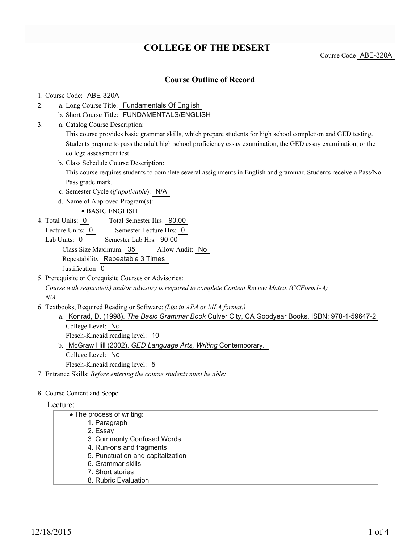## **COLLEGE OF THE DESERT**

Course Code ABE-320A

## **Course Outline of Record**

### 1. Course Code: ABE-320A

- a. Long Course Title: Fundamentals Of English 2.
	- b. Short Course Title: FUNDAMENTALS/ENGLISH
- Catalog Course Description: a. 3.

This course provides basic grammar skills, which prepare students for high school completion and GED testing. Students prepare to pass the adult high school proficiency essay examination, the GED essay examination, or the college assessment test.

b. Class Schedule Course Description:

This course requires students to complete several assignments in English and grammar. Students receive a Pass/No Pass grade mark.

c. Semester Cycle (*if applicable*): N/A

d. Name of Approved Program(s):

- BASIC ENGLISH
- Total Semester Hrs: 90.00 4. Total Units: 0
	- Lecture Units: 0 Semester Lecture Hrs: 0

Lab Units: 0 Semester Lab Hrs: 90.00 Class Size Maximum: 35 Allow Audit: No Repeatability Repeatable 3 Times Justification 0

5. Prerequisite or Corequisite Courses or Advisories:

*Course with requisite(s) and/or advisory is required to complete Content Review Matrix (CCForm1-A) N/A*

- Textbooks, Required Reading or Software: *(List in APA or MLA format.)* 6.
	- a. Konrad, D. (1998). *The Basic Grammar Book* Culver City, CA Goodyear Books. ISBN: 978-1-59647-2 College Level: No Flesch-Kincaid reading level: 10
	- b. McGraw Hill (2002). GED Language Arts, Writing Contemporary. College Level: No Flesch-Kincaid reading level: 5
- 7. Entrance Skills: *Before entering the course students must be able:*
- 8. Course Content and Scope:

## Lecture:

| • The process of writing:         |
|-----------------------------------|
| 1. Paragraph                      |
| 2. Essay                          |
| 3. Commonly Confused Words        |
| 4. Run-ons and fragments          |
| 5. Punctuation and capitalization |
| 6. Grammar skills                 |
| 7. Short stories                  |
| 8. Rubric Evaluation              |
|                                   |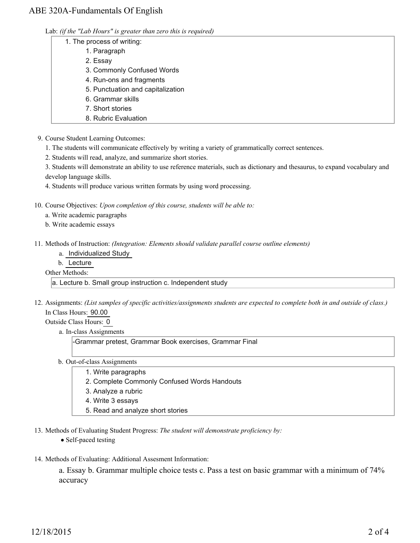## ABE 320A-Fundamentals Of English

|  |  | Lab: (if the "Lab Hours" is greater than zero this is required) |  |  |  |
|--|--|-----------------------------------------------------------------|--|--|--|
|  |  |                                                                 |  |  |  |

- 1. The process of writing:
	- 1. Paragraph
	- 2. Essay
	- 3. Commonly Confused Words
	- 4. Run-ons and fragments
	- 5. Punctuation and capitalization
	- 6. Grammar skills
	- 7. Short stories
	- 8. Rubric Evaluation
- 9. Course Student Learning Outcomes:
	- 1. The students will communicate effectively by writing a variety of grammatically correct sentences.
	- 2. Students will read, analyze, and summarize short stories.

3. Students will demonstrate an ability to use reference materials, such as dictionary and thesaurus, to expand vocabulary and develop language skills.

- 4. Students will produce various written formats by using word processing.
- 10. Course Objectives: Upon completion of this course, students will be able to:
	- a. Write academic paragraphs
	- b. Write academic essays
- Methods of Instruction: *(Integration: Elements should validate parallel course outline elements)* 11.
	- a. Individualized Study
	- b. Lecture

Other Methods:

a. Lecture b. Small group instruction c. Independent study

- 12. Assignments: (List samples of specific activities/assignments students are expected to complete both in and outside of class.) In Class Hours: 90.00
	- Outside Class Hours: 0
		- a. In-class Assignments

-Grammar pretest, Grammar Book exercises, Grammar Final

- b. Out-of-class Assignments
	- 1. Write paragraphs
	- 2. Complete Commonly Confused Words Handouts
	- 3. Analyze a rubric
	- 4. Write 3 essays
	- 5. Read and analyze short stories
- 13. Methods of Evaluating Student Progress: The student will demonstrate proficiency by:
	- Self-paced testing
- 14. Methods of Evaluating: Additional Assesment Information:

a. Essay b. Grammar multiple choice tests c. Pass a test on basic grammar with a minimum of 74% accuracy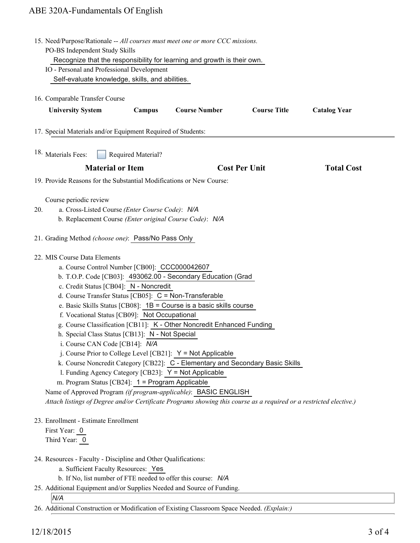# ABE 320A-Fundamentals Of English

| 15. Need/Purpose/Rationale -- All courses must meet one or more CCC missions.                    |                                                                                                                    |                                                                                |                      |                     |  |  |  |  |  |  |  |
|--------------------------------------------------------------------------------------------------|--------------------------------------------------------------------------------------------------------------------|--------------------------------------------------------------------------------|----------------------|---------------------|--|--|--|--|--|--|--|
| PO-BS Independent Study Skills                                                                   |                                                                                                                    |                                                                                |                      |                     |  |  |  |  |  |  |  |
| Recognize that the responsibility for learning and growth is their own.                          |                                                                                                                    |                                                                                |                      |                     |  |  |  |  |  |  |  |
| IO - Personal and Professional Development                                                       |                                                                                                                    |                                                                                |                      |                     |  |  |  |  |  |  |  |
| Self-evaluate knowledge, skills, and abilities.                                                  |                                                                                                                    |                                                                                |                      |                     |  |  |  |  |  |  |  |
| 16. Comparable Transfer Course                                                                   |                                                                                                                    |                                                                                |                      |                     |  |  |  |  |  |  |  |
|                                                                                                  |                                                                                                                    | <b>Course Number</b>                                                           | <b>Course Title</b>  |                     |  |  |  |  |  |  |  |
| <b>University System</b>                                                                         | Campus                                                                                                             |                                                                                |                      | <b>Catalog Year</b> |  |  |  |  |  |  |  |
| 17. Special Materials and/or Equipment Required of Students:                                     |                                                                                                                    |                                                                                |                      |                     |  |  |  |  |  |  |  |
|                                                                                                  |                                                                                                                    |                                                                                |                      |                     |  |  |  |  |  |  |  |
| 18. Materials Fees:                                                                              | Required Material?                                                                                                 |                                                                                |                      |                     |  |  |  |  |  |  |  |
| <b>Material or Item</b>                                                                          |                                                                                                                    |                                                                                | <b>Cost Per Unit</b> | <b>Total Cost</b>   |  |  |  |  |  |  |  |
|                                                                                                  |                                                                                                                    |                                                                                |                      |                     |  |  |  |  |  |  |  |
|                                                                                                  | 19. Provide Reasons for the Substantial Modifications or New Course:                                               |                                                                                |                      |                     |  |  |  |  |  |  |  |
| Course periodic review                                                                           |                                                                                                                    |                                                                                |                      |                     |  |  |  |  |  |  |  |
| a. Cross-Listed Course (Enter Course Code): N/A<br>20.                                           |                                                                                                                    |                                                                                |                      |                     |  |  |  |  |  |  |  |
| b. Replacement Course (Enter original Course Code): N/A                                          |                                                                                                                    |                                                                                |                      |                     |  |  |  |  |  |  |  |
|                                                                                                  |                                                                                                                    |                                                                                |                      |                     |  |  |  |  |  |  |  |
|                                                                                                  | 21. Grading Method (choose one): Pass/No Pass Only                                                                 |                                                                                |                      |                     |  |  |  |  |  |  |  |
|                                                                                                  |                                                                                                                    |                                                                                |                      |                     |  |  |  |  |  |  |  |
| 22. MIS Course Data Elements                                                                     |                                                                                                                    |                                                                                |                      |                     |  |  |  |  |  |  |  |
| a. Course Control Number [CB00]: CCC000042607                                                    |                                                                                                                    |                                                                                |                      |                     |  |  |  |  |  |  |  |
| b. T.O.P. Code [CB03]: 493062.00 - Secondary Education (Grad                                     |                                                                                                                    |                                                                                |                      |                     |  |  |  |  |  |  |  |
| c. Credit Status [CB04]: N - Noncredit<br>d. Course Transfer Status [CB05]: C = Non-Transferable |                                                                                                                    |                                                                                |                      |                     |  |  |  |  |  |  |  |
|                                                                                                  |                                                                                                                    | e. Basic Skills Status [CB08]: $1B =$ Course is a basic skills course          |                      |                     |  |  |  |  |  |  |  |
| f. Vocational Status [CB09]: Not Occupational                                                    |                                                                                                                    |                                                                                |                      |                     |  |  |  |  |  |  |  |
|                                                                                                  |                                                                                                                    | g. Course Classification [CB11]: K - Other Noncredit Enhanced Funding          |                      |                     |  |  |  |  |  |  |  |
| h. Special Class Status [CB13]: N - Not Special                                                  |                                                                                                                    |                                                                                |                      |                     |  |  |  |  |  |  |  |
| i. Course CAN Code [CB14]: N/A                                                                   |                                                                                                                    |                                                                                |                      |                     |  |  |  |  |  |  |  |
|                                                                                                  |                                                                                                                    | j. Course Prior to College Level [CB21]: $Y = Not$ Applicable                  |                      |                     |  |  |  |  |  |  |  |
|                                                                                                  |                                                                                                                    | k. Course Noncredit Category [CB22]: C - Elementary and Secondary Basic Skills |                      |                     |  |  |  |  |  |  |  |
| 1. Funding Agency Category [CB23]: Y = Not Applicable                                            |                                                                                                                    |                                                                                |                      |                     |  |  |  |  |  |  |  |
| m. Program Status [CB24]: 1 = Program Applicable                                                 |                                                                                                                    |                                                                                |                      |                     |  |  |  |  |  |  |  |
|                                                                                                  | Name of Approved Program (if program-applicable): BASIC ENGLISH                                                    |                                                                                |                      |                     |  |  |  |  |  |  |  |
|                                                                                                  | Attach listings of Degree and/or Certificate Programs showing this course as a required or a restricted elective.) |                                                                                |                      |                     |  |  |  |  |  |  |  |
|                                                                                                  |                                                                                                                    |                                                                                |                      |                     |  |  |  |  |  |  |  |
| 23. Enrollment - Estimate Enrollment                                                             |                                                                                                                    |                                                                                |                      |                     |  |  |  |  |  |  |  |
| First Year: 0<br>Third Year: 0                                                                   |                                                                                                                    |                                                                                |                      |                     |  |  |  |  |  |  |  |
|                                                                                                  |                                                                                                                    |                                                                                |                      |                     |  |  |  |  |  |  |  |
| 24. Resources - Faculty - Discipline and Other Qualifications:                                   |                                                                                                                    |                                                                                |                      |                     |  |  |  |  |  |  |  |
| a. Sufficient Faculty Resources: Yes                                                             |                                                                                                                    |                                                                                |                      |                     |  |  |  |  |  |  |  |
| b. If No, list number of FTE needed to offer this course: N/A                                    |                                                                                                                    |                                                                                |                      |                     |  |  |  |  |  |  |  |
| 25. Additional Equipment and/or Supplies Needed and Source of Funding.                           |                                                                                                                    |                                                                                |                      |                     |  |  |  |  |  |  |  |
| N/A                                                                                              |                                                                                                                    |                                                                                |                      |                     |  |  |  |  |  |  |  |
| 26. Additional Construction or Modification of Existing Classroom Space Needed. (Explain:)       |                                                                                                                    |                                                                                |                      |                     |  |  |  |  |  |  |  |